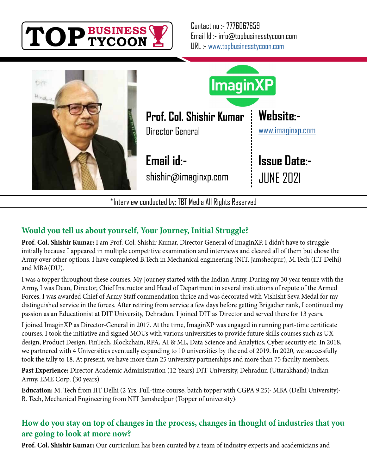



**Would you tell us about yourself, Your Journey, Initial Struggle?**

**Prof. Col. Shishir Kumar:** I am Prof. Col. Shishir Kumar, Director General of ImaginXP. I didn't have to struggle initially because I appeared in multiple competitive examination and interviews and cleared all of them but chose the Army over other options. I have completed B.Tech in Mechanical engineering (NIT, Jamshedpur), M.Tech (IIT Delhi) and MBA(DU).

I was a topper throughout these courses. My Journey started with the Indian Army. During my 30 year tenure with the Army, I was Dean, Director, Chief Instructor and Head of Department in several institutions of repute of the Armed Forces. I was awarded Chief of Army Staff commendation thrice and was decorated with Vishisht Seva Medal for my distinguished service in the forces. After retiring from service a few days before getting Brigadier rank, I continued my passion as an Educationist at DIT University, Dehradun. I joined DIT as Director and served there for 13 years.

I joined ImaginXP as Director-General in 2017. At the time, ImaginXP was engaged in running part-time certificate courses. I took the initiative and signed MOUs with various universities to provide future skills courses such as UX design, Product Design, FinTech, Blockchain, RPA, AI & ML, Data Science and Analytics, Cyber security etc. In 2018, we partnered with 4 Universities eventually expanding to 10 universities by the end of 2019. In 2020, we successfully took the tally to 18. At present, we have more than 25 university partnerships and more than 75 faculty members.

**Past Experience:** Director Academic Administration (12 Years) DIT University, Dehradun (Uttarakhand) Indian Army, EME Corp. (30 years)

**Education:** M. Tech from IIT Delhi (2 Yrs. Full-time course, batch topper with CGPA 9.25)· MBA (Delhi University)· B. Tech, Mechanical Engineering from NIT Jamshedpur (Topper of university)·

# **How do you stay on top of changes in the process, changes in thought of industries that you are going to look at more now?**

**Prof. Col. Shishir Kumar:** Our curriculum has been curated by a team of industry experts and academicians and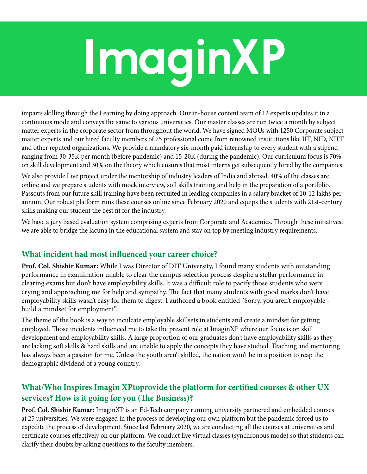# **ImaginXP**

imparts skilling through the Learning by doing approach. Our in-house content team of 12 experts updates it in a continuous mode and conveys the same to various universities. Our master classes are run twice a month by subject matter experts in the corporate sector from throughout the world. We have signed MOUs with 1250 Corporate subject matter experts and our hired faculty members of 75 professional come from renowned institutions like IIT, NID, NIFT and other reputed organizations. We provide a mandatory six-month paid internship to every student with a stipend ranging from 30-35K per month (before pandemic) and 15-20K (during the pandemic). Our curriculum focus is 70% on skill development and 30% on the theory which ensures that most interns get subsequently hired by the companies.

We also provide Live project under the mentorship of industry leaders of India and abroad. 40% of the classes are online and we prepare students with mock interview, soft skills training and help in the preparation of a portfolio. Passouts from our future skill training have been recruited in leading companies in a salary bracket of 10-12 lakhs per annum. Our robust platform runs these courses online since February 2020 and equips the students with 21st-century skills making our student the best fit for the industry.

We have a jury based evaluation system comprising experts from Corporate and Academics. Through these initiatives, we are able to bridge the lacuna in the educational system and stay on top by meeting industry requirements.

### **What incident had most influenced your career choice?**

**Prof. Col. Shishir Kumar:** While I was Director of DIT University, I found many students with outstanding performance in examination unable to clear the campus selection process despite a stellar performance in clearing exams but don't have employability skills. It was a difficult role to pacify those students who were crying and approaching me for help and sympathy. The fact that many students with good marks don't have employability skills wasn't easy for them to digest. I authored a book entitled "Sorry, you aren't employable build a mindset for employment".

The theme of the book is a way to inculcate employable skillsets in students and create a mindset for getting employed. Those incidents influenced me to take the present role at ImaginXP where our focus is on skill development and employability skills. A large proportion of our graduates don't have employability skills as they are lacking soft skills & hard skills and are unable to apply the concepts they have studied. Teaching and mentoring has always been a passion for me. Unless the youth aren't skilled, the nation won't be in a position to reap the demographic dividend of a young country.

# **What/Who Inspires Imagin XPtoprovide the platform for certified courses & other UX services? How is it going for you (The Business)?**

**Prof. Col. Shishir Kumar:** ImaginXP is an Ed-Tech company running university partnered and embedded courses at 25 universities. We were engaged in the process of developing our own platform but the pandemic forced us to expedite the process of development. Since last February 2020, we are conducting all the courses at universities and certificate courses effectively on our platform. We conduct live virtual classes (synchronous mode) so that students can clarify their doubts by asking questions to the faculty members.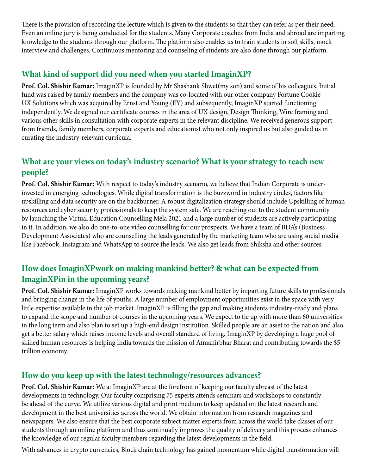There is the provision of recording the lecture which is given to the students so that they can refer as per their need. Even an online jury is being conducted for the students. Many Corporate coaches from India and abroad are imparting knowledge to the students through our platform. The platform also enables us to train students in soft skills, mock interview and challenges. Continuous mentoring and counseling of students are also done through our platform.

#### **What kind of support did you need when you started ImaginXP?**

**Prof. Col. Shishir Kumar:** ImaginXP is founded by Mr Shashank Shwet(my son) and some of his colleagues. Initial fund was raised by family members and the company was co-located with our other company Fortune Cookie UX Solutions which was acquired by Ernst and Young (EY) and subsequently, ImaginXP started functioning independently. We designed our certificate courses in the area of UX design, Design Thinking, Wire framing and various other skills in consultation with corporate experts in the relevant discipline. We received generous support from friends, family members, corporate experts and educationist who not only inspired us but also guided us in curating the industry-relevant curricula.

## **What are your views on today's industry scenario? What is your strategy to reach new people?**

**Prof. Col. Shishir Kumar:** With respect to today's industry scenario, we believe that Indian Corporate is underinvested in emerging technologies. While digital transformation is the buzzword in industry circles, factors like upskilling and data security are on the backburner. A robust digitalization strategy should include Upskilling of human resources and cyber security professionals to keep the system safe. We are reaching out to the student community by launching the Virtual Education Counselling Mela 2021 and a large number of students are actively participating in it. In addition, we also do one-to-one video counselling for our prospects. We have a team of BDA's (Business Development Associates) who are counselling the leads generated by the marketing team who are using social media like Facebook, Instagram and WhatsApp to source the leads. We also get leads from Shiksha and other sources.

# **How does ImaginXPwork on making mankind better? & what can be expected from ImaginXPin in the upcoming years?**

**Prof. Col. Shishir Kumar:** ImaginXP works towards making mankind better by imparting future skills to professionals and bringing change in the life of youths. A large number of employment opportunities exist in the space with very little expertise available in the job market. ImaginXP is filling the gap and making students industry-ready and plans to expand the scope and number of courses in the upcoming years. We expect to tie up with more than 60 universities in the long term and also plan to set up a high-end design institution. Skilled people are an asset to the nation and also get a better salary which raises income levels and overall standard of living. ImaginXP by developing a huge pool of skilled human resources is helping India towards the mission of Atmanirbhar Bharat and contributing towards the \$5 trillion economy.

#### **How do you keep up with the latest technology/resources advances?**

**Prof. Col. Shishir Kumar:** We at ImaginXP are at the forefront of keeping our faculty abreast of the latest developments in technology. Our faculty comprising 75 experts attends seminars and workshops to constantly be ahead of the curve. We utilize various digital and print medium to keep updated on the latest research and development in the best universities across the world. We obtain information from research magazines and newspapers. We also ensure that the best corporate subject matter experts from across the world take classes of our students through an online platform and thus continually improves the quality of delivery and this process enhances the knowledge of our regular faculty members regarding the latest developments in the field.

With advances in crypto currencies, Block chain technology has gained momentum while digital transformation will